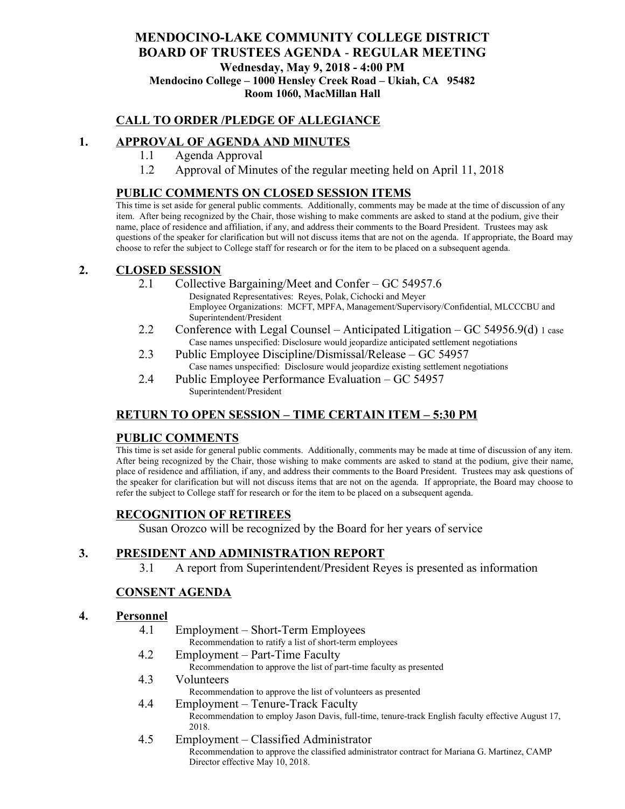## **MENDOCINO-LAKE COMMUNITY COLLEGE DISTRICT BOARD OF TRUSTEES AGENDA** - **REGULAR MEETING Wednesday, May 9, 2018 - 4:00 PM Mendocino College – 1000 Hensley Creek Road – Ukiah, CA 95482 Room 1060, MacMillan Hall**

## **CALL TO ORDER /PLEDGE OF ALLEGIANCE**

## **1. APPROVAL OF AGENDA AND MINUTES**

- 1.1 Agenda Approval
- 1.2 Approval of Minutes of the regular meeting held on April 11, 2018

### **PUBLIC COMMENTS ON CLOSED SESSION ITEMS**

This time is set aside for general public comments. Additionally, comments may be made at the time of discussion of any item. After being recognized by the Chair, those wishing to make comments are asked to stand at the podium, give their name, place of residence and affiliation, if any, and address their comments to the Board President. Trustees may ask questions of the speaker for clarification but will not discuss items that are not on the agenda. If appropriate, the Board may choose to refer the subject to College staff for research or for the item to be placed on a subsequent agenda.

### **2. CLOSED SESSION**

- 2.1 Collective Bargaining/Meet and Confer GC 54957.6 Designated Representatives: Reyes, Polak, Cichocki and Meyer Employee Organizations: MCFT, MPFA, Management/Supervisory/Confidential, MLCCCBU and Superintendent/President
- 2.2 Conference with Legal Counsel Anticipated Litigation GC 54956.9(d) 1 case Case names unspecified: Disclosure would jeopardize anticipated settlement negotiations
- 2.3 Public Employee Discipline/Dismissal/Release GC 54957 Case names unspecified: Disclosure would jeopardize existing settlement negotiations
- 2.4 Public Employee Performance Evaluation GC 54957 Superintendent/President

### **RETURN TO OPEN SESSION – TIME CERTAIN ITEM – 5:30 PM**

### **PUBLIC COMMENTS**

This time is set aside for general public comments. Additionally, comments may be made at time of discussion of any item. After being recognized by the Chair, those wishing to make comments are asked to stand at the podium, give their name, place of residence and affiliation, if any, and address their comments to the Board President. Trustees may ask questions of the speaker for clarification but will not discuss items that are not on the agenda. If appropriate, the Board may choose to refer the subject to College staff for research or for the item to be placed on a subsequent agenda.

### **RECOGNITION OF RETIREES**

Susan Orozco will be recognized by the Board for her years of service

### **3. PRESIDENT AND ADMINISTRATION REPORT**

3.1 A report from Superintendent/President Reyes is presented as information

### **CONSENT AGENDA**

#### **4. Personnel**

- 4.1 Employment Short-Term Employees Recommendation to ratify a list of short-term employees 4.2 Employment – Part-Time Faculty Recommendation to approve the list of part-time faculty as presented 4.3 Volunteers
	- Recommendation to approve the list of volunteers as presented
- 4.4 Employment Tenure-Track Faculty Recommendation to employ Jason Davis, full-time, tenure-track English faculty effective August 17, 2018.
- 4.5 Employment Classified Administrator Recommendation to approve the classified administrator contract for Mariana G. Martinez, CAMP Director effective May 10, 2018.